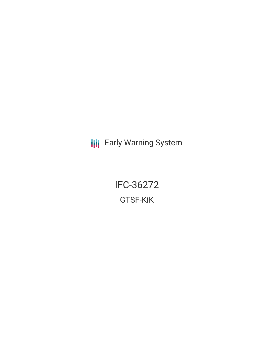**III** Early Warning System

IFC-36272 GTSF-KiK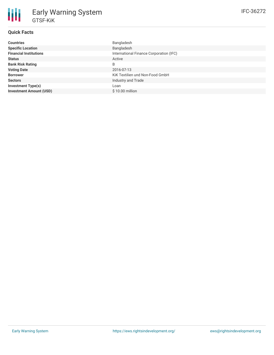| <b>Countries</b>               | Bangladesh                              |
|--------------------------------|-----------------------------------------|
| <b>Specific Location</b>       | Bangladesh                              |
| <b>Financial Institutions</b>  | International Finance Corporation (IFC) |
| <b>Status</b>                  | Active                                  |
| <b>Bank Risk Rating</b>        | B                                       |
| <b>Voting Date</b>             | 2016-07-13                              |
| <b>Borrower</b>                | KiK Textilien und Non-Food GmbH         |
| <b>Sectors</b>                 | Industry and Trade                      |
| <b>Investment Type(s)</b>      | Loan                                    |
| <b>Investment Amount (USD)</b> | $$10.00$ million                        |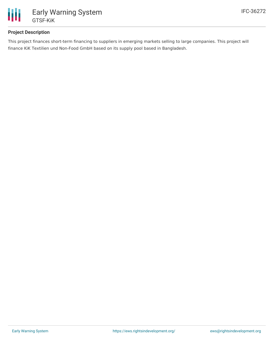

## **Project Description**

This project finances short-term financing to suppliers in emerging markets selling to large companies. This project will finance KiK Textilien und Non-Food GmbH based on its supply pool based in Bangladesh.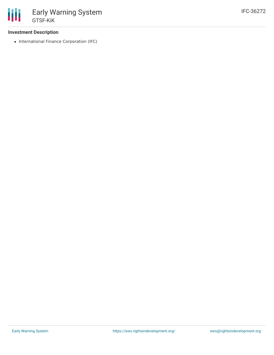## **Investment Description**

• International Finance Corporation (IFC)